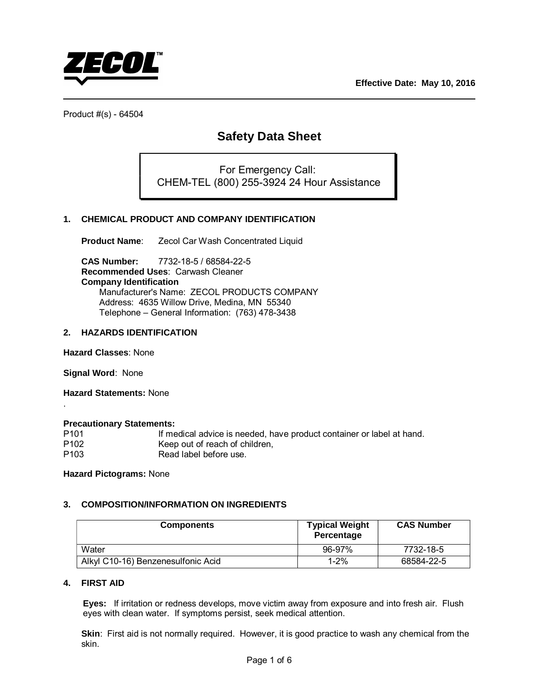

# **Safety Data Sheet**

For Emergency Call: CHEM-TEL (800) 255-3924 24 Hour Assistance

# **1. CHEMICAL PRODUCT AND COMPANY IDENTIFICATION**

**Product Name:** Zecol Car Wash Concentrated Liquid

**CAS Number:** 7732-18-5 / 68584-22-5 **Recommended Uses**: Carwash Cleaner **Company Identification** Manufacturer's Name: ZECOL PRODUCTS COMPANY Address: 4635 Willow Drive, Medina, MN 55340 Telephone – General Information: (763) 478-3438

# **2. HAZARDS IDENTIFICATION**

**Hazard Classes**: None

**Signal Word**: None

.

**Hazard Statements:** None

#### **Precautionary Statements:**

| P <sub>101</sub> | If medical advice is needed, have product container or label at hand. |
|------------------|-----------------------------------------------------------------------|
| P <sub>102</sub> | Keep out of reach of children,                                        |
| P <sub>103</sub> | Read label before use.                                                |

**Hazard Pictograms:** None

#### **3. COMPOSITION/INFORMATION ON INGREDIENTS**

| <b>Components</b>                  | <b>Typical Weight</b><br>Percentage | <b>CAS Number</b> |
|------------------------------------|-------------------------------------|-------------------|
| Water                              | 96-97%                              | 7732-18-5         |
| Alkyl C10-16) Benzenesulfonic Acid | $1 - 2%$                            | 68584-22-5        |

#### **4. FIRST AID**

**Eyes:** If irritation or redness develops, move victim away from exposure and into fresh air. Flush eyes with clean water. If symptoms persist, seek medical attention.

**Skin**: First aid is not normally required. However, it is good practice to wash any chemical from the skin.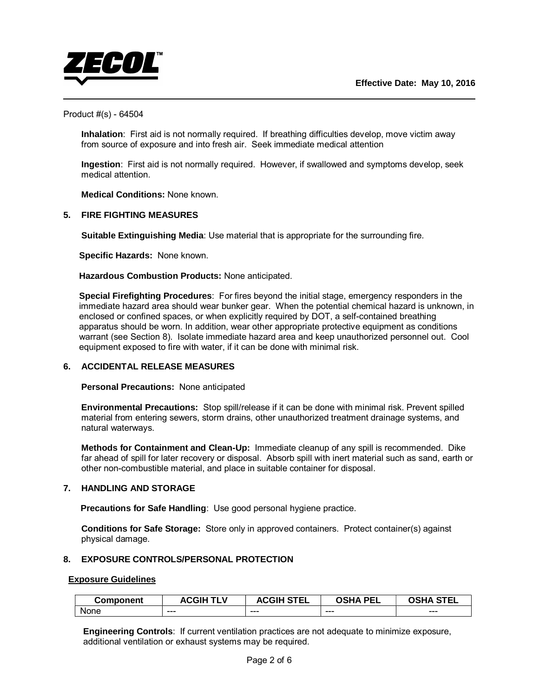

 **Inhalation**: First aid is not normally required. If breathing difficulties develop, move victim away from source of exposure and into fresh air. Seek immediate medical attention

 **Ingestion**: First aid is not normally required. However, if swallowed and symptoms develop, seek medical attention.

**Medical Conditions:** None known.

# **5. FIRE FIGHTING MEASURES**

 **Suitable Extinguishing Media**: Use material that is appropriate for the surrounding fire.

**Specific Hazards:** None known.

**Hazardous Combustion Products:** None anticipated.

**Special Firefighting Procedures**: For fires beyond the initial stage, emergency responders in the immediate hazard area should wear bunker gear. When the potential chemical hazard is unknown, in enclosed or confined spaces, or when explicitly required by DOT, a self-contained breathing apparatus should be worn. In addition, wear other appropriate protective equipment as conditions warrant (see Section 8). Isolate immediate hazard area and keep unauthorized personnel out. Cool equipment exposed to fire with water, if it can be done with minimal risk.

# **6. ACCIDENTAL RELEASE MEASURES**

**Personal Precautions:** None anticipated

**Environmental Precautions:** Stop spill/release if it can be done with minimal risk. Prevent spilled material from entering sewers, storm drains, other unauthorized treatment drainage systems, and natural waterways.

**Methods for Containment and Clean-Up:** Immediate cleanup of any spill is recommended. Dike far ahead of spill for later recovery or disposal. Absorb spill with inert material such as sand, earth or other non-combustible material, and place in suitable container for disposal.

# **7. HANDLING AND STORAGE**

**Precautions for Safe Handling: Use good personal hygiene practice.** 

 **Conditions for Safe Storage:** Store only in approved containers. Protect container(s) against physical damage.

# **8. EXPOSURE CONTROLS/PERSONAL PROTECTION**

# **Exposure Guidelines**

| <b>Component</b> | v<br><b>ACGIH</b> | <b>STEL</b><br>$\lambda$ $\sim$ $\sim$ $\mu$ $\sim$<br>AUGII | <b>OCUA</b><br><b>PFI</b> | . STF'<br>-- |
|------------------|-------------------|--------------------------------------------------------------|---------------------------|--------------|
| None             |                   |                                                              |                           |              |
|                  | ---               | $- - -$                                                      | $- - -$                   | $- - -$      |

**Engineering Controls**: If current ventilation practices are not adequate to minimize exposure, additional ventilation or exhaust systems may be required.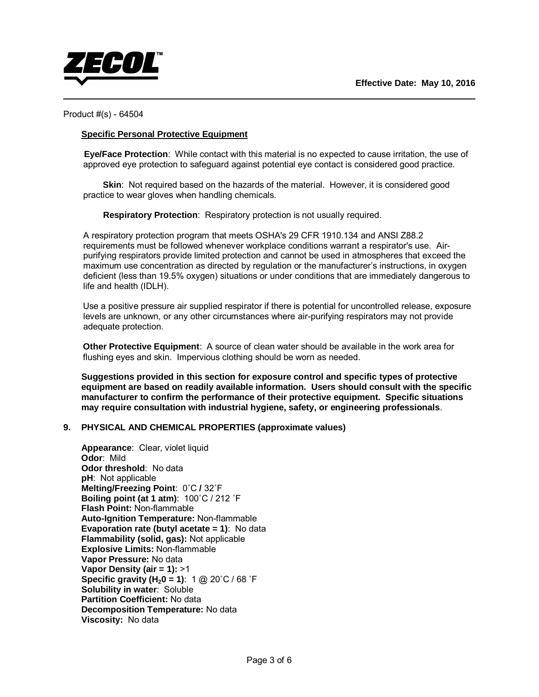

# **Specific Personal Protective Equipment**

 **Eye/Face Protection**: While contact with this material is no expected to cause irritation, the use of approved eye protection to safeguard against potential eye contact is considered good practice.

**Skin**: Not required based on the hazards of the material. However, it is considered good practice to wear gloves when handling chemicals.

 **Respiratory Protection**: Respiratory protection is not usually required.

A respiratory protection program that meets OSHA's 29 CFR 1910.134 and ANSI Z88.2 requirements must be followed whenever workplace conditions warrant a respirator's use. Airpurifying respirators provide limited protection and cannot be used in atmospheres that exceed the maximum use concentration as directed by regulation or the manufacturer's instructions, in oxygen deficient (less than 19.5% oxygen) situations or under conditions that are immediately dangerous to life and health (IDLH).

Use a positive pressure air supplied respirator if there is potential for uncontrolled release, exposure levels are unknown, or any other circumstances where air-purifying respirators may not provide adequate protection.

**Other Protective Equipment**: A source of clean water should be available in the work area for flushing eyes and skin. Impervious clothing should be worn as needed.

**Suggestions provided in this section for exposure control and specific types of protective equipment are based on readily available information. Users should consult with the specific manufacturer to confirm the performance of their protective equipment. Specific situations may require consultation with industrial hygiene, safety, or engineering professionals**.

# **9. PHYSICAL AND CHEMICAL PROPERTIES (approximate values)**

 **Appearance**: Clear, violet liquid **Odor**: Mild  **Odor threshold**: No data  **pH**: Not applicable  **Melting/Freezing Point**: 0˚C **/** 32˚F  **Boiling point (at 1 atm)**: 100˚C / 212 ˚F  **Flash Point:** Non-flammable **Auto-Ignition Temperature:** Non-flammable **Evaporation rate (butyl acetate = 1)**: No data  **Flammability (solid, gas):** Not applicable  **Explosive Limits:** Non-flammable  **Vapor Pressure:** No data  **Vapor Density (air = 1):** >1 **Specific gravity (H<sub>2</sub>0 = 1):** 1 @ 20 $^{\circ}$ C / 68  $^{\circ}$ F  **Solubility in water**: Soluble **Partition Coefficient:** No data  **Decomposition Temperature:** No data  **Viscosity:** No data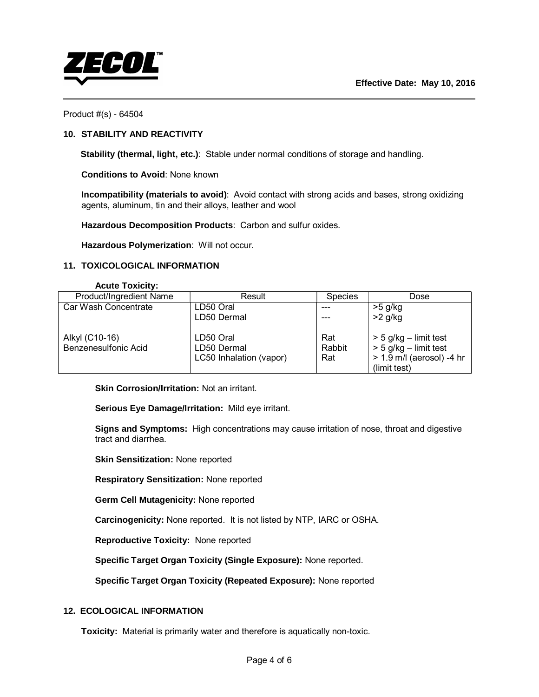

# **10. STABILITY AND REACTIVITY**

 **Stability (thermal, light, etc.)**: Stable under normal conditions of storage and handling.

 **Conditions to Avoid**: None known

 **Incompatibility (materials to avoid)**: Avoid contact with strong acids and bases, strong oxidizing agents, aluminum, tin and their alloys, leather and wool

 **Hazardous Decomposition Products**: Carbon and sulfur oxides.

 **Hazardous Polymerization**: Will not occur.

# **11. TOXICOLOGICAL INFORMATION**

#### **Acute Toxicity:**

| Product/Ingredient Name | Result                  | <b>Species</b> | Dose                        |
|-------------------------|-------------------------|----------------|-----------------------------|
| Car Wash Concentrate    | LD50 Oral               |                | >5 g/kg                     |
|                         | LD50 Dermal             |                | $>2$ g/kg                   |
| Alkyl (C10-16)          | LD50 Oral               | Rat            | $>$ 5 g/kg – limit test     |
| Benzenesulfonic Acid    | LD50 Dermal             | Rabbit         | $>$ 5 g/kg – limit test     |
|                         | LC50 Inhalation (vapor) | Rat            | $> 1.9$ m/l (aerosol) -4 hr |
|                         |                         |                | (limit test)                |

**Skin Corrosion/Irritation:** Not an irritant.

**Serious Eye Damage/Irritation:** Mild eye irritant.

**Signs and Symptoms:** High concentrations may cause irritation of nose, throat and digestive tract and diarrhea.

**Skin Sensitization:** None reported

**Respiratory Sensitization:** None reported

**Germ Cell Mutagenicity:** None reported

**Carcinogenicity:** None reported. It is not listed by NTP, IARC or OSHA.

**Reproductive Toxicity:** None reported

**Specific Target Organ Toxicity (Single Exposure):** None reported.

**Specific Target Organ Toxicity (Repeated Exposure):** None reported

# **12. ECOLOGICAL INFORMATION**

**Toxicity:** Material is primarily water and therefore is aquatically non-toxic.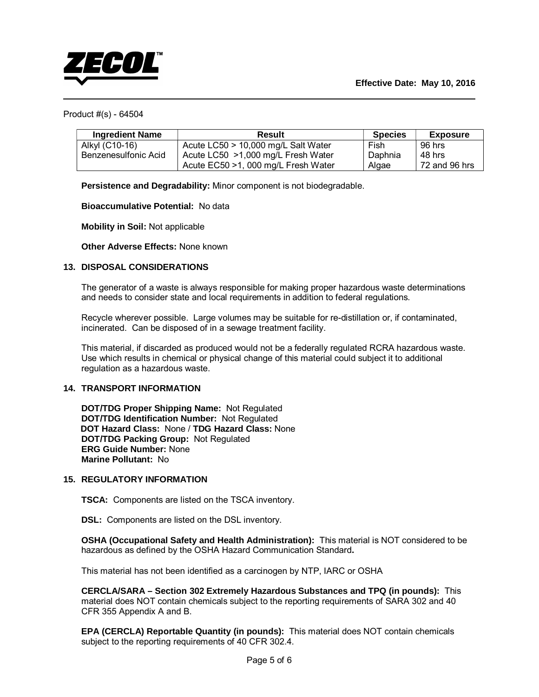

| <b>Ingredient Name</b> | <b>Result</b>                       | <b>Species</b> | <b>Exposure</b> |
|------------------------|-------------------------------------|----------------|-----------------|
| Alkyl (C10-16)         | Acute LC50 > 10,000 mg/L Salt Water | Fish           | 96 hrs          |
| Benzenesulfonic Acid   | Acute LC50 >1,000 mg/L Fresh Water  | Daphnia        | 48 hrs          |
|                        | Acute EC50 >1, 000 mg/L Fresh Water | Algae          | 72 and 96 hrs   |

 **Persistence and Degradability:** Minor component is not biodegradable.

 **Bioaccumulative Potential:** No data

 **Mobility in Soil:** Not applicable

 **Other Adverse Effects:** None known

# **13. DISPOSAL CONSIDERATIONS**

The generator of a waste is always responsible for making proper hazardous waste determinations and needs to consider state and local requirements in addition to federal regulations.

Recycle wherever possible. Large volumes may be suitable for re-distillation or, if contaminated, incinerated. Can be disposed of in a sewage treatment facility.

This material, if discarded as produced would not be a federally regulated RCRA hazardous waste. Use which results in chemical or physical change of this material could subject it to additional regulation as a hazardous waste.

# **14. TRANSPORT INFORMATION**

 **DOT/TDG Proper Shipping Name:** Not Regulated  **DOT/TDG Identification Number:** Not Regulated **DOT Hazard Class:** None / **TDG Hazard Class:** None  **DOT/TDG Packing Group:** Not Regulated  **ERG Guide Number:** None  **Marine Pollutant:** No

# **15. REGULATORY INFORMATION**

 **TSCA:** Components are listed on the TSCA inventory.

**DSL:** Components are listed on the DSL inventory.

 **OSHA (Occupational Safety and Health Administration):** This material is NOT considered to be hazardous as defined by the OSHA Hazard Communication Standard**.** 

This material has not been identified as a carcinogen by NTP, IARC or OSHA

 **CERCLA/SARA – Section 302 Extremely Hazardous Substances and TPQ (in pounds):** This material does NOT contain chemicals subject to the reporting requirements of SARA 302 and 40 CFR 355 Appendix A and B.

**EPA (CERCLA) Reportable Quantity (in pounds):** This material does NOT contain chemicals subject to the reporting requirements of 40 CFR 302.4.